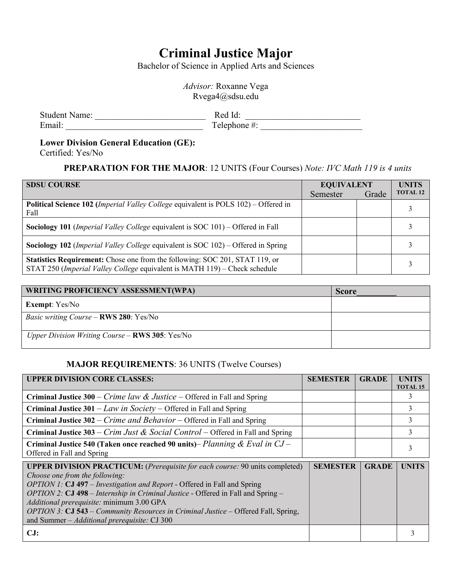# **Criminal Justice Major**

Bachelor of Science in Applied Arts and Sciences

*Advisor:* Roxanne Vega Rvega4@sdsu.edu

| <b>Student Name:</b> |  |
|----------------------|--|
| Email:               |  |

| <b>Student Name:</b> | Red Id:      |
|----------------------|--------------|
| Email:               | Telephone #: |

#### **Lower Division General Education (GE):**

Certified: Yes/No

## **PREPARATION FOR THE MAJOR**: 12 UNITS (Four Courses) *Note: IVC Math 119 is 4 units*

| <b>SDSU COURSE</b>                                                                                                                                        | <b>EQUIVALENT</b> |       | <b>UNITS</b>    |
|-----------------------------------------------------------------------------------------------------------------------------------------------------------|-------------------|-------|-----------------|
|                                                                                                                                                           | Semester          | Grade | <b>TOTAL 12</b> |
| Political Science 102 (Imperial Valley College equivalent is POLS 102) - Offered in<br>Fall                                                               |                   |       |                 |
| Sociology 101 (Imperial Valley College equivalent is SOC 101) - Offered in Fall                                                                           |                   |       |                 |
| Sociology 102 (Imperial Valley College equivalent is SOC 102) – Offered in Spring                                                                         |                   |       |                 |
| Statistics Requirement: Chose one from the following: SOC 201, STAT 119, or<br>STAT 250 (Imperial Valley College equivalent is MATH 119) - Check schedule |                   |       |                 |

| <b>WRITING PROFICIENCY ASSESSMENT(WPA)</b>      | <b>Score</b> |
|-------------------------------------------------|--------------|
| <b>Exempt:</b> Yes/No                           |              |
| <i>Basic writing Course – RWS 280: Yes/No</i>   |              |
| Upper Division Writing Course - RWS 305: Yes/No |              |

### **MAJOR REQUIREMENTS**: 36 UNITS (Twelve Courses)

| <b>UPPER DIVISION CORE CLASSES:</b>                                                                                                                                                                                                                                                                                                                                                                                                                                                    | <b>SEMESTER</b> | <b>GRADE</b> | <b>UNITS</b><br><b>TOTAL 15</b> |
|----------------------------------------------------------------------------------------------------------------------------------------------------------------------------------------------------------------------------------------------------------------------------------------------------------------------------------------------------------------------------------------------------------------------------------------------------------------------------------------|-----------------|--------------|---------------------------------|
| <b>Criminal Justice 300</b> – <i>Crime law &amp; Justice</i> – Offered in Fall and Spring                                                                                                                                                                                                                                                                                                                                                                                              |                 |              |                                 |
| <b>Criminal Justice 301</b> – Law in Society – Offered in Fall and Spring                                                                                                                                                                                                                                                                                                                                                                                                              |                 |              | 3                               |
| <b>Criminal Justice 302</b> – <i>Crime and Behavior</i> – Offered in Fall and Spring                                                                                                                                                                                                                                                                                                                                                                                                   |                 |              | 3                               |
| <b>Criminal Justice 303</b> – <i>Crim Just &amp; Social Control</i> – Offered in Fall and Spring                                                                                                                                                                                                                                                                                                                                                                                       |                 |              | 3                               |
| Criminal Justice 540 (Taken once reached 90 units)– Planning & Eval in $CJ$ –<br>Offered in Fall and Spring                                                                                                                                                                                                                                                                                                                                                                            |                 |              |                                 |
| <b>UPPER DIVISION PRACTICUM:</b> (Prerequisite for each course: 90 units completed)<br>Choose one from the following:<br>OPTION 1: CJ 497 – Investigation and Report - Offered in Fall and Spring<br>OPTION 2: CJ 498 – Internship in Criminal Justice - Offered in Fall and Spring –<br>Additional prerequisite: minimum 3.00 GPA<br><i>OPTION 3:</i> CJ 543 – <i>Community Resources in Criminal Justice</i> – Offered Fall, Spring,<br>and Summer - Additional prerequisite: CJ 300 | <b>SEMESTER</b> | <b>GRADE</b> | <b>UNITS</b>                    |
| CJ:                                                                                                                                                                                                                                                                                                                                                                                                                                                                                    |                 |              |                                 |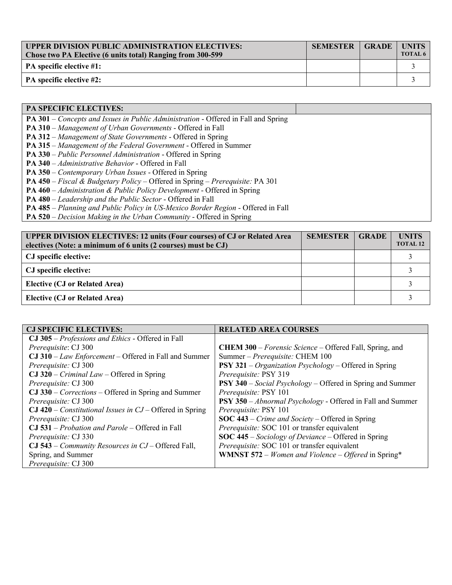| <b>UPPER DIVISION PUBLIC ADMINISTRATION ELECTIVES:</b><br>Chose two PA Elective (6 units total) Ranging from 300-599 | <b>SEMESTER</b> | <b>GRADE</b> | <b>UNITS</b><br>TOTAL 6 |
|----------------------------------------------------------------------------------------------------------------------|-----------------|--------------|-------------------------|
| PA specific elective #1:                                                                                             |                 |              |                         |
| PA specific elective #2:                                                                                             |                 |              |                         |

| <b>PA SPECIFIC ELECTIVES:</b>                                                                          |  |
|--------------------------------------------------------------------------------------------------------|--|
| <b>PA 301</b> – Concepts and Issues in Public Administration - Offered in Fall and Spring              |  |
| PA 310 - Management of Urban Governments - Offered in Fall                                             |  |
| <b>PA 312</b> – Management of State Governments - Offered in Spring                                    |  |
| <b>PA 315</b> – Management of the Federal Government - Offered in Summer                               |  |
| <b>PA 330</b> – Public Personnel Administration - Offered in Spring                                    |  |
| <b>PA 340</b> – Administrative Behavior - Offered in Fall                                              |  |
| PA 350 – Contemporary Urban Issues - Offered in Spring                                                 |  |
| <b>PA 450</b> – <i>Fiscal &amp; Budgetary Policy</i> – Offered in Spring – <i>Prerequisite:</i> PA 301 |  |
| <b>PA 460</b> – Administration & Public Policy Development - Offered in Spring                         |  |
| <b>PA 480</b> – <i>Leadership and the Public Sector</i> - Offered in Fall                              |  |
| PA 485 - Planning and Public Policy in US-Mexico Border Region - Offered in Fall                       |  |
|                                                                                                        |  |

**PA 520** – *Decision Making in the Urban Community* - Offered in Spring

| <b>UPPER DIVISION ELECTIVES: 12 units (Four courses) of CJ or Related Area</b><br>electives (Note: a minimum of 6 units (2 courses) must be CJ) | <b>SEMESTER</b> | <b>GRADE</b> | <b>UNITS</b><br><b>TOTAL 12</b> |
|-------------------------------------------------------------------------------------------------------------------------------------------------|-----------------|--------------|---------------------------------|
| CJ specific elective:                                                                                                                           |                 |              |                                 |
| CJ specific elective:                                                                                                                           |                 |              |                                 |
| <b>Elective (CJ or Related Area)</b>                                                                                                            |                 |              |                                 |
| <b>Elective (CJ or Related Area)</b>                                                                                                            |                 |              |                                 |

| <b>CJ SPECIFIC ELECTIVES:</b>                                         | <b>RELATED AREA COURSES</b>                                              |
|-----------------------------------------------------------------------|--------------------------------------------------------------------------|
| CJ 305 – Professions and Ethics - Offered in Fall                     |                                                                          |
| Prerequisite: CJ 300                                                  | <b>CHEM 300</b> – Forensic Science – Offered Fall, Spring, and           |
| $CJ$ 310 – Law Enforcement – Offered in Fall and Summer               | Summer - Prerequisite: CHEM 100                                          |
| Prerequisite: CJ 300                                                  | <b>PSY 321</b> – <i>Organization Psychology</i> – Offered in Spring      |
| $CJ$ 320 – <i>Criminal Law</i> – Offered in Spring                    | Prerequisite: PSY 319                                                    |
| Prerequisite: CJ 300                                                  | <b>PSY 340</b> – <i>Social Psychology</i> – Offered in Spring and Summer |
| $\textbf{CJ}$ 330 – <i>Corrections</i> – Offered in Spring and Summer | Prerequisite: PSY 101                                                    |
| Prerequisite: CJ 300                                                  | <b>PSY 350</b> - Abnormal Psychology - Offered in Fall and Summer        |
| $CJ$ 420 – <i>Constitutional Issues in CJ</i> – Offered in Spring     | Prerequisite: PSY 101                                                    |
| Prerequisite: CJ 300                                                  | <b>SOC 443</b> – <i>Crime and Society</i> – Offered in Spring            |
| $CJ$ 531 – Probation and Parole – Offered in Fall                     | Prerequisite: SOC 101 or transfer equivalent                             |
| Prerequisite: CJ 330                                                  | <b>SOC 445</b> – <i>Sociology of Deviance</i> – Offered in Spring        |
| CJ 543 – Community Resources in CJ – Offered Fall,                    | Prerequisite: SOC 101 or transfer equivalent                             |
| Spring, and Summer                                                    | <b>WMNST 572</b> – <i>Women and Violence</i> – <i>Offered</i> in Spring* |
| Prerequisite: CJ 300                                                  |                                                                          |